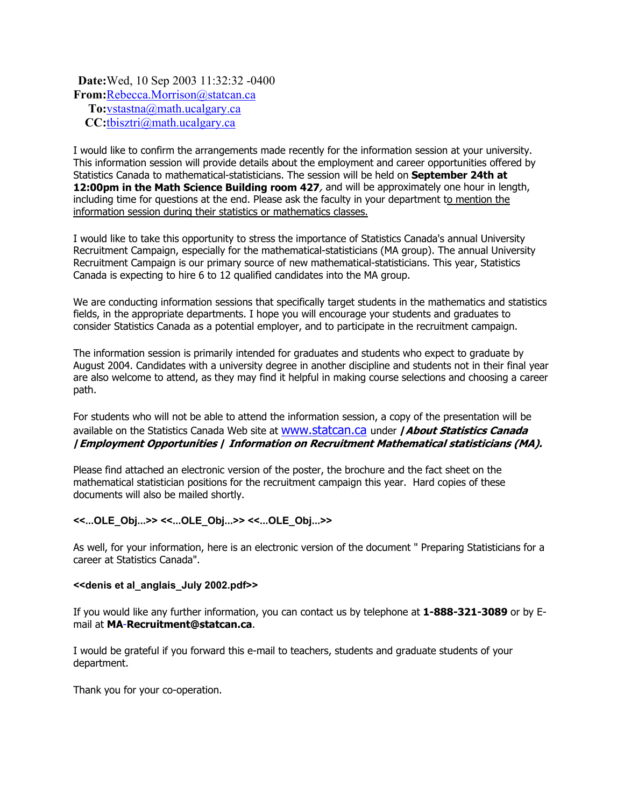### **Date:** Wed, 10 Sep 2003 11:32:32 -0400 **From:** Rebecca.Morrison@statcan.ca **To:** vstastna@math.ucalgary.ca **CC:** tbisztri@math.ucalgary.ca

I would like to confirm the arrangements made recently for the information session at your university. This information session will provide details about the employment and career opportunities offered by Statistics Canada to mathematical-statisticians. The session will be held on **September 24th at 12:00pm in the Math Science Building room 427**, and will be approximately one hour in length, including time for questions at the end. Please ask the faculty in your department to mention the information session during their statistics or mathematics classes.

I would like to take this opportunity to stress the importance of Statistics Canada's annual University Recruitment Campaign, especially for the mathematical-statisticians (MA group). The annual University Recruitment Campaign is our primary source of new mathematical-statisticians. This year, Statistics Canada is expecting to hire 6 to 12 qualified candidates into the MA group.

We are conducting information sessions that specifically target students in the mathematics and statistics fields, in the appropriate departments. I hope you will encourage your students and graduates to consider Statistics Canada as a potential employer, and to participate in the recruitment campaign.

The information session is primarily intended for graduates and students who expect to graduate by August 2004. Candidates with a university degree in another discipline and students not in their final year are also welcome to attend, as they may find it helpful in making course selections and choosing a career path.

For students who will not be able to attend the information session, a copy of the presentation will be available on the Statistics Canada Web site at www.statcan.ca under **/About Statistics Canada /Employment Opportunities / Information on Recruitment Mathematical statisticians (MA).**

Please find attached an electronic version of the poster, the brochure and the fact sheet on the mathematical statistician positions for the recruitment campaign this year. Hard copies of these documents will also be mailed shortly.

#### **<<...OLE\_Obj...>> <<...OLE\_Obj...>> <<...OLE\_Obj...>>**

As well, for your information, here is an electronic version of the document " Preparing Statisticians for a career at Statistics Canada".

#### **<<denis et al\_anglais\_July 2002.pdf>>**

If you would like any further information, you can contact us by telephone at **1-888-321-3089** or by Email at **MA**-**Recruitment@statcan.ca**.

I would be grateful if you forward this e-mail to teachers, students and graduate students of your department.

Thank you for your co-operation.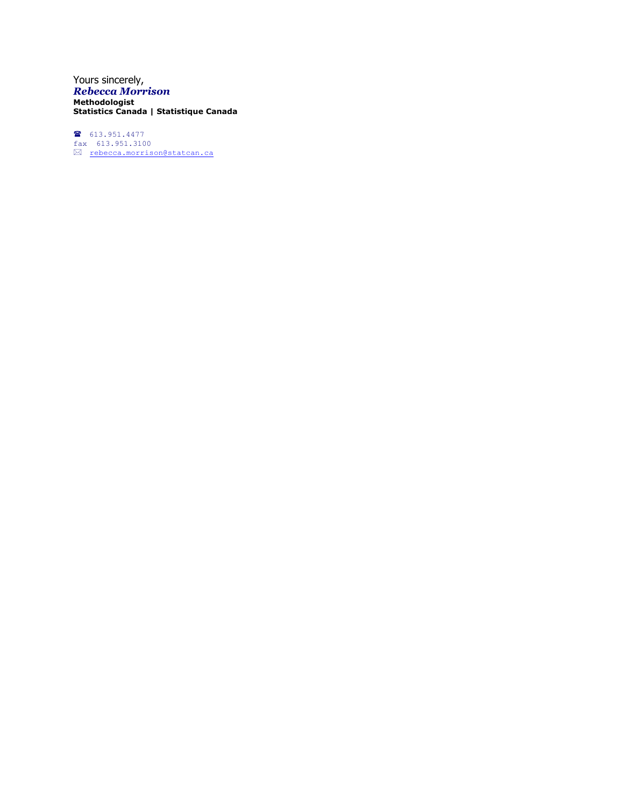Yours sincerely, *Rebecca Morrison* **Methodologist Statistics Canada | Statistique Canada**

 $613.951.4477$  $\frac{2}{3}$  613.951.3100 <u>rebecca.morrison@statcan.ca</u>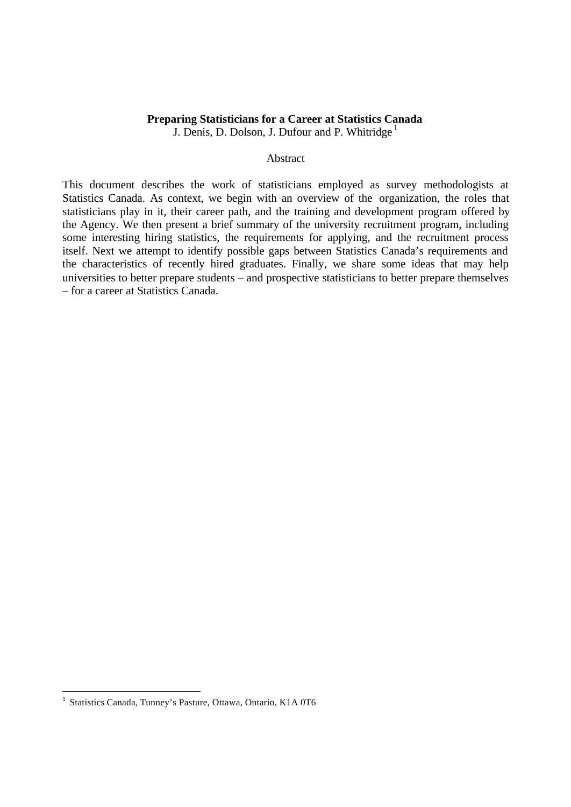#### **Preparing Statisticians for a Career at Statistics Canada** J. Denis, D. Dolson, J. Dufour and P. Whitridge<sup>1</sup>

### Abstract

This document describes the work of statisticians employed as survey methodologists at Statistics Canada. As context, we begin with an overview of the organization, the roles that statisticians play in it, their career path, and the training and development program offered by the Agency. We then present a brief summary of the university recruitment program, including some interesting hiring statistics, the requirements for applying, and the recruitment process itself. Next we attempt to identify possible gaps between Statistics Canada's requirements and the characteristics of recently hired graduates. Finally, we share some ideas that may help universities to better prepare students – and prospective statisticians to better prepare themselves – for a career at Statistics Canada.

l

<sup>&</sup>lt;sup>1</sup> Statistics Canada, Tunney's Pasture, Ottawa, Ontario, K1A 0T6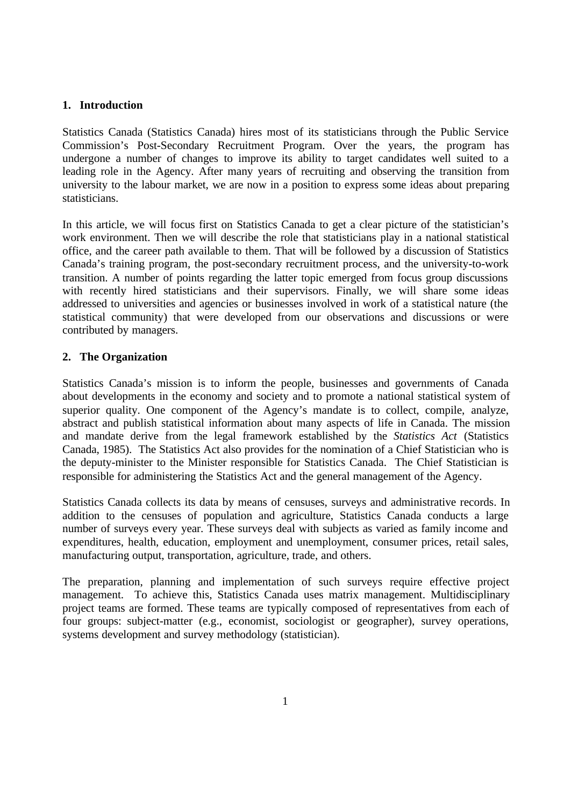# **1. Introduction**

Statistics Canada (Statistics Canada) hires most of its statisticians through the Public Service Commission's Post-Secondary Recruitment Program. Over the years, the program has undergone a number of changes to improve its ability to target candidates well suited to a leading role in the Agency. After many years of recruiting and observing the transition from university to the labour market, we are now in a position to express some ideas about preparing statisticians.

In this article, we will focus first on Statistics Canada to get a clear picture of the statistician's work environment. Then we will describe the role that statisticians play in a national statistical office, and the career path available to them. That will be followed by a discussion of Statistics Canada's training program, the post-secondary recruitment process, and the university-to-work transition. A number of points regarding the latter topic emerged from focus group discussions with recently hired statisticians and their supervisors. Finally, we will share some ideas addressed to universities and agencies or businesses involved in work of a statistical nature (the statistical community) that were developed from our observations and discussions or were contributed by managers.

# **2. The Organization**

Statistics Canada's mission is to inform the people, businesses and governments of Canada about developments in the economy and society and to promote a national statistical system of superior quality. One component of the Agency's mandate is to collect, compile, analyze, abstract and publish statistical information about many aspects of life in Canada. The mission and mandate derive from the legal framework established by the *Statistics Act* (Statistics Canada, 1985). The Statistics Act also provides for the nomination of a Chief Statistician who is the deputy-minister to the Minister responsible for Statistics Canada. The Chief Statistician is responsible for administering the Statistics Act and the general management of the Agency.

Statistics Canada collects its data by means of censuses, surveys and administrative records. In addition to the censuses of population and agriculture, Statistics Canada conducts a large number of surveys every year. These surveys deal with subjects as varied as family income and expenditures, health, education, employment and unemployment, consumer prices, retail sales, manufacturing output, transportation, agriculture, trade, and others.

The preparation, planning and implementation of such surveys require effective project management. To achieve this, Statistics Canada uses matrix management. Multidisciplinary project teams are formed. These teams are typically composed of representatives from each of four groups: subject-matter (e.g., economist, sociologist or geographer), survey operations, systems development and survey methodology (statistician).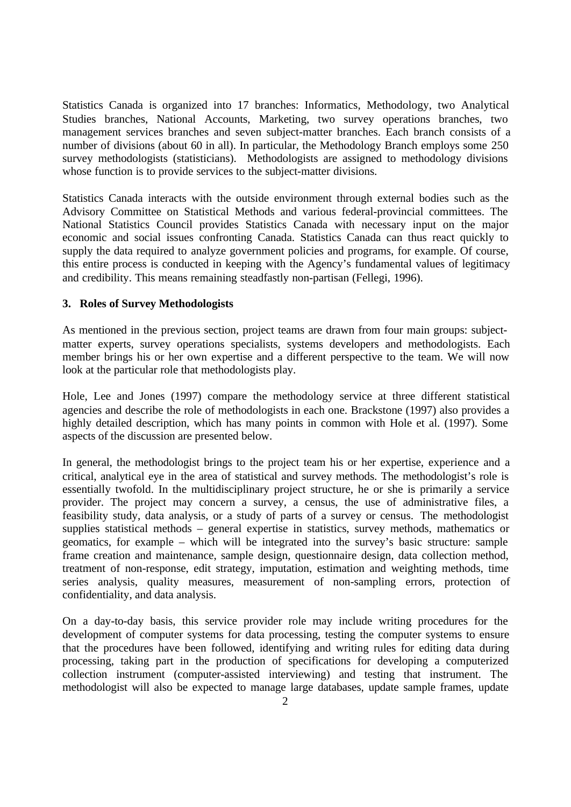Statistics Canada is organized into 17 branches: Informatics, Methodology, two Analytical Studies branches, National Accounts, Marketing, two survey operations branches, two management services branches and seven subject-matter branches. Each branch consists of a number of divisions (about 60 in all). In particular, the Methodology Branch employs some 250 survey methodologists (statisticians). Methodologists are assigned to methodology divisions whose function is to provide services to the subject-matter divisions.

Statistics Canada interacts with the outside environment through external bodies such as the Advisory Committee on Statistical Methods and various federal-provincial committees. The National Statistics Council provides Statistics Canada with necessary input on the major economic and social issues confronting Canada. Statistics Canada can thus react quickly to supply the data required to analyze government policies and programs, for example. Of course, this entire process is conducted in keeping with the Agency's fundamental values of legitimacy and credibility. This means remaining steadfastly non-partisan (Fellegi, 1996).

# **3. Roles of Survey Methodologists**

As mentioned in the previous section, project teams are drawn from four main groups: subjectmatter experts, survey operations specialists, systems developers and methodologists. Each member brings his or her own expertise and a different perspective to the team. We will now look at the particular role that methodologists play.

Hole, Lee and Jones (1997) compare the methodology service at three different statistical agencies and describe the role of methodologists in each one. Brackstone (1997) also provides a highly detailed description, which has many points in common with Hole et al. (1997). Some aspects of the discussion are presented below.

In general, the methodologist brings to the project team his or her expertise, experience and a critical, analytical eye in the area of statistical and survey methods. The methodologist's role is essentially twofold. In the multidisciplinary project structure, he or she is primarily a service provider. The project may concern a survey, a census, the use of administrative files, a feasibility study, data analysis, or a study of parts of a survey or census. The methodologist supplies statistical methods – general expertise in statistics, survey methods, mathematics or geomatics, for example – which will be integrated into the survey's basic structure: sample frame creation and maintenance, sample design, questionnaire design, data collection method, treatment of non-response, edit strategy, imputation, estimation and weighting methods, time series analysis, quality measures, measurement of non-sampling errors, protection of confidentiality, and data analysis.

On a day-to-day basis, this service provider role may include writing procedures for the development of computer systems for data processing, testing the computer systems to ensure that the procedures have been followed, identifying and writing rules for editing data during processing, taking part in the production of specifications for developing a computerized collection instrument (computer-assisted interviewing) and testing that instrument. The methodologist will also be expected to manage large databases, update sample frames, update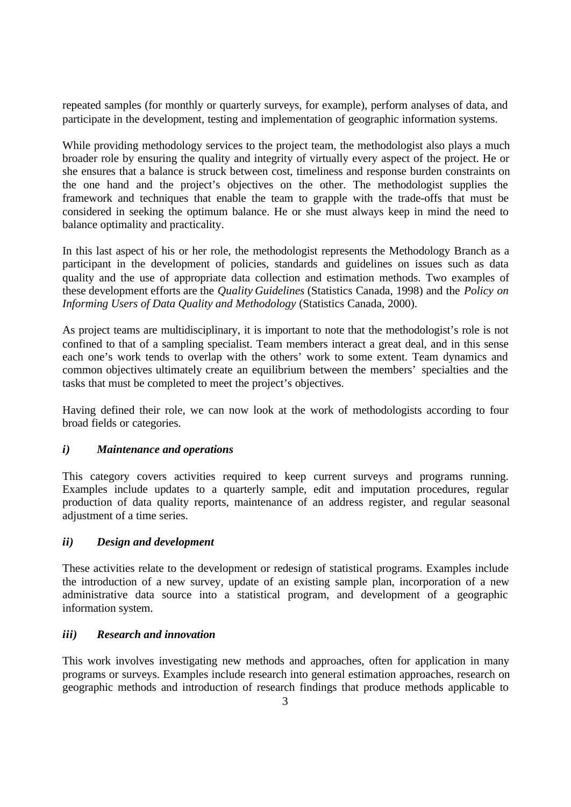repeated samples (for monthly or quarterly surveys, for example), perform analyses of data, and participate in the development, testing and implementation of geographic information systems.

While providing methodology services to the project team, the methodologist also plays a much broader role by ensuring the quality and integrity of virtually every aspect of the project. He or she ensures that a balance is struck between cost, timeliness and response burden constraints on the one hand and the project's objectives on the other. The methodologist supplies the framework and techniques that enable the team to grapple with the trade-offs that must be considered in seeking the optimum balance. He or she must always keep in mind the need to balance optimality and practicality.

In this last aspect of his or her role, the methodologist represents the Methodology Branch as a participant in the development of policies, standards and guidelines on issues such as data quality and the use of appropriate data collection and estimation methods. Two examples of these development efforts are the *Quality Guidelines* (Statistics Canada, 1998) and the *Policy on Informing Users of Data Quality and Methodology* (Statistics Canada, 2000).

As project teams are multidisciplinary, it is important to note that the methodologist's role is not confined to that of a sampling specialist. Team members interact a great deal, and in this sense each one's work tends to overlap with the others' work to some extent. Team dynamics and common objectives ultimately create an equilibrium between the members' specialties and the tasks that must be completed to meet the project's objectives.

Having defined their role, we can now look at the work of methodologists according to four broad fields or categories.

# *i) Maintenance and operations*

This category covers activities required to keep current surveys and programs running. Examples include updates to a quarterly sample, edit and imputation procedures, regular production of data quality reports, maintenance of an address register, and regular seasonal adjustment of a time series.

# *ii) Design and development*

These activities relate to the development or redesign of statistical programs. Examples include the introduction of a new survey, update of an existing sample plan, incorporation of a new administrative data source into a statistical program, and development of a geographic information system.

# *iii) Research and innovation*

This work involves investigating new methods and approaches, often for application in many programs or surveys. Examples include research into general estimation approaches, research on geographic methods and introduction of research findings that produce methods applicable to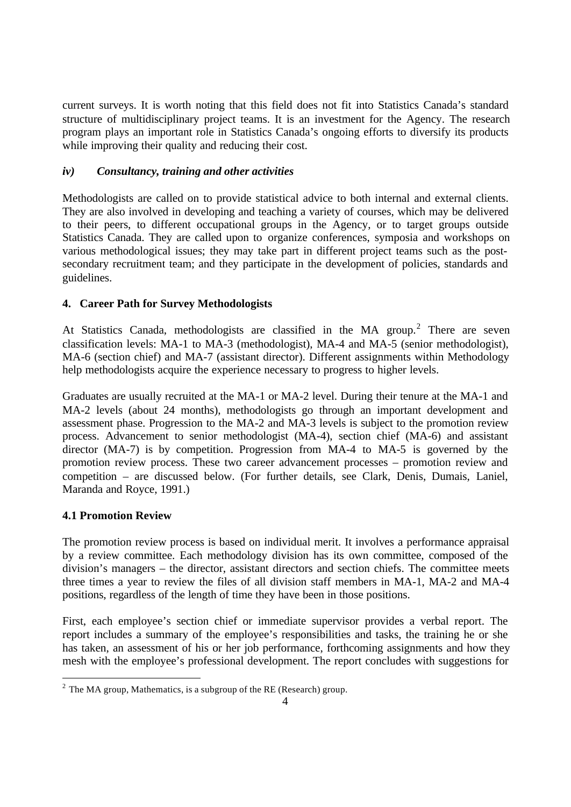current surveys. It is worth noting that this field does not fit into Statistics Canada's standard structure of multidisciplinary project teams. It is an investment for the Agency. The research program plays an important role in Statistics Canada's ongoing efforts to diversify its products while improving their quality and reducing their cost.

# *iv) Consultancy, training and other activities*

Methodologists are called on to provide statistical advice to both internal and external clients. They are also involved in developing and teaching a variety of courses, which may be delivered to their peers, to different occupational groups in the Agency, or to target groups outside Statistics Canada. They are called upon to organize conferences, symposia and workshops on various methodological issues; they may take part in different project teams such as the postsecondary recruitment team; and they participate in the development of policies, standards and guidelines.

# **4. Career Path for Survey Methodologists**

At Statistics Canada, methodologists are classified in the MA group.<sup>2</sup> There are seven classification levels: MA-1 to MA-3 (methodologist), MA-4 and MA-5 (senior methodologist), MA-6 (section chief) and MA-7 (assistant director). Different assignments within Methodology help methodologists acquire the experience necessary to progress to higher levels.

Graduates are usually recruited at the MA-1 or MA-2 level. During their tenure at the MA-1 and MA-2 levels (about 24 months), methodologists go through an important development and assessment phase. Progression to the MA-2 and MA-3 levels is subject to the promotion review process. Advancement to senior methodologist (MA-4), section chief (MA-6) and assistant director (MA-7) is by competition. Progression from MA-4 to MA-5 is governed by the promotion review process. These two career advancement processes – promotion review and competition – are discussed below. (For further details, see Clark, Denis, Dumais, Laniel, Maranda and Royce, 1991.)

# **4.1 Promotion Review**

l

The promotion review process is based on individual merit. It involves a performance appraisal by a review committee. Each methodology division has its own committee, composed of the division's managers – the director, assistant directors and section chiefs. The committee meets three times a year to review the files of all division staff members in MA-1, MA-2 and MA-4 positions, regardless of the length of time they have been in those positions.

First, each employee's section chief or immediate supervisor provides a verbal report. The report includes a summary of the employee's responsibilities and tasks, the training he or she has taken, an assessment of his or her job performance, forthcoming assignments and how they mesh with the employee's professional development. The report concludes with suggestions for

<sup>&</sup>lt;sup>2</sup> The MA group, Mathematics, is a subgroup of the RE (Research) group.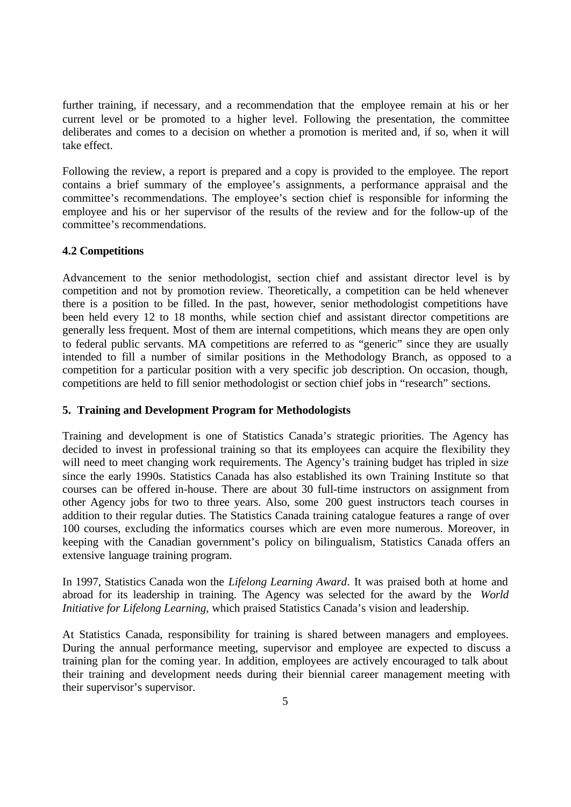further training, if necessary, and a recommendation that the employee remain at his or her current level or be promoted to a higher level. Following the presentation, the committee deliberates and comes to a decision on whether a promotion is merited and, if so, when it will take effect.

Following the review, a report is prepared and a copy is provided to the employee. The report contains a brief summary of the employee's assignments, a performance appraisal and the committee's recommendations. The employee's section chief is responsible for informing the employee and his or her supervisor of the results of the review and for the follow-up of the committee's recommendations.

# **4.2 Competitions**

Advancement to the senior methodologist, section chief and assistant director level is by competition and not by promotion review. Theoretically, a competition can be held whenever there is a position to be filled. In the past, however, senior methodologist competitions have been held every 12 to 18 months, while section chief and assistant director competitions are generally less frequent. Most of them are internal competitions, which means they are open only to federal public servants. MA competitions are referred to as "generic" since they are usually intended to fill a number of similar positions in the Methodology Branch, as opposed to a competition for a particular position with a very specific job description. On occasion, though, competitions are held to fill senior methodologist or section chief jobs in "research" sections.

# **5. Training and Development Program for Methodologists**

Training and development is one of Statistics Canada's strategic priorities. The Agency has decided to invest in professional training so that its employees can acquire the flexibility they will need to meet changing work requirements. The Agency's training budget has tripled in size since the early 1990s. Statistics Canada has also established its own Training Institute so that courses can be offered in-house. There are about 30 full-time instructors on assignment from other Agency jobs for two to three years. Also, some 200 guest instructors teach courses in addition to their regular duties. The Statistics Canada training catalogue features a range of over 100 courses, excluding the informatics courses which are even more numerous. Moreover, in keeping with the Canadian government's policy on bilingualism, Statistics Canada offers an extensive language training program.

In 1997, Statistics Canada won the *Lifelong Learning Award*. It was praised both at home and abroad for its leadership in training. The Agency was selected for the award by the *World Initiative for Lifelong Learning*, which praised Statistics Canada's vision and leadership.

At Statistics Canada, responsibility for training is shared between managers and employees. During the annual performance meeting, supervisor and employee are expected to discuss a training plan for the coming year. In addition, employees are actively encouraged to talk about their training and development needs during their biennial career management meeting with their supervisor's supervisor.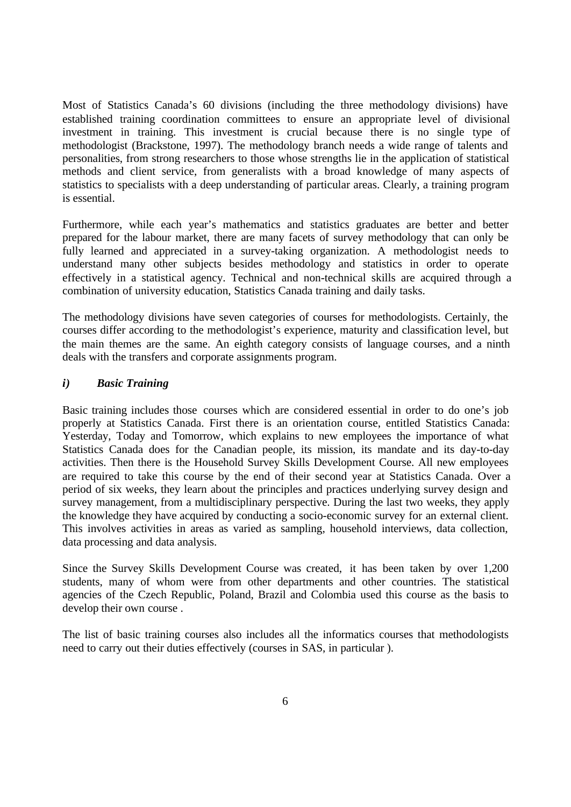Most of Statistics Canada's 60 divisions (including the three methodology divisions) have established training coordination committees to ensure an appropriate level of divisional investment in training. This investment is crucial because there is no single type of methodologist (Brackstone, 1997). The methodology branch needs a wide range of talents and personalities, from strong researchers to those whose strengths lie in the application of statistical methods and client service, from generalists with a broad knowledge of many aspects of statistics to specialists with a deep understanding of particular areas. Clearly, a training program is essential.

Furthermore, while each year's mathematics and statistics graduates are better and better prepared for the labour market, there are many facets of survey methodology that can only be fully learned and appreciated in a survey-taking organization. A methodologist needs to understand many other subjects besides methodology and statistics in order to operate effectively in a statistical agency. Technical and non-technical skills are acquired through a combination of university education, Statistics Canada training and daily tasks.

The methodology divisions have seven categories of courses for methodologists. Certainly, the courses differ according to the methodologist's experience, maturity and classification level, but the main themes are the same. An eighth category consists of language courses, and a ninth deals with the transfers and corporate assignments program.

# *i) Basic Training*

Basic training includes those courses which are considered essential in order to do one's job properly at Statistics Canada. First there is an orientation course, entitled Statistics Canada: Yesterday, Today and Tomorrow, which explains to new employees the importance of what Statistics Canada does for the Canadian people, its mission, its mandate and its day-to-day activities. Then there is the Household Survey Skills Development Course. All new employees are required to take this course by the end of their second year at Statistics Canada. Over a period of six weeks, they learn about the principles and practices underlying survey design and survey management, from a multidisciplinary perspective. During the last two weeks, they apply the knowledge they have acquired by conducting a socio-economic survey for an external client. This involves activities in areas as varied as sampling, household interviews, data collection, data processing and data analysis.

Since the Survey Skills Development Course was created, it has been taken by over 1,200 students, many of whom were from other departments and other countries. The statistical agencies of the Czech Republic, Poland, Brazil and Colombia used this course as the basis to develop their own course .

The list of basic training courses also includes all the informatics courses that methodologists need to carry out their duties effectively (courses in SAS, in particular ).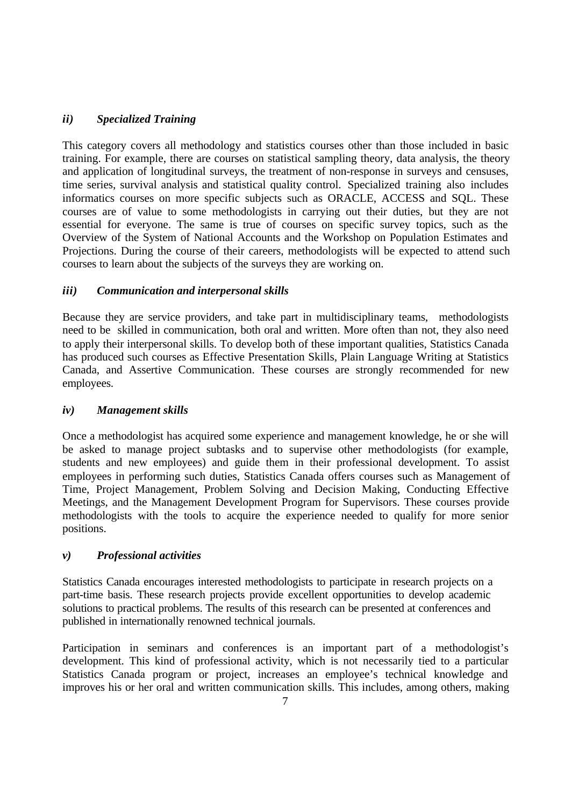# *ii) Specialized Training*

This category covers all methodology and statistics courses other than those included in basic training. For example, there are courses on statistical sampling theory, data analysis, the theory and application of longitudinal surveys, the treatment of non-response in surveys and censuses, time series, survival analysis and statistical quality control. Specialized training also includes informatics courses on more specific subjects such as ORACLE, ACCESS and SQL. These courses are of value to some methodologists in carrying out their duties, but they are not essential for everyone. The same is true of courses on specific survey topics, such as the Overview of the System of National Accounts and the Workshop on Population Estimates and Projections. During the course of their careers, methodologists will be expected to attend such courses to learn about the subjects of the surveys they are working on.

# *iii) Communication and interpersonal skills*

Because they are service providers, and take part in multidisciplinary teams, methodologists need to be skilled in communication, both oral and written. More often than not, they also need to apply their interpersonal skills. To develop both of these important qualities, Statistics Canada has produced such courses as Effective Presentation Skills, Plain Language Writing at Statistics Canada, and Assertive Communication. These courses are strongly recommended for new employees.

# *iv) Management skills*

Once a methodologist has acquired some experience and management knowledge, he or she will be asked to manage project subtasks and to supervise other methodologists (for example, students and new employees) and guide them in their professional development. To assist employees in performing such duties, Statistics Canada offers courses such as Management of Time, Project Management, Problem Solving and Decision Making, Conducting Effective Meetings, and the Management Development Program for Supervisors. These courses provide methodologists with the tools to acquire the experience needed to qualify for more senior positions.

# *v) Professional activities*

Statistics Canada encourages interested methodologists to participate in research projects on a part-time basis. These research projects provide excellent opportunities to develop academic solutions to practical problems. The results of this research can be presented at conferences and published in internationally renowned technical journals.

Participation in seminars and conferences is an important part of a methodologist's development. This kind of professional activity, which is not necessarily tied to a particular Statistics Canada program or project, increases an employee's technical knowledge and improves his or her oral and written communication skills. This includes, among others, making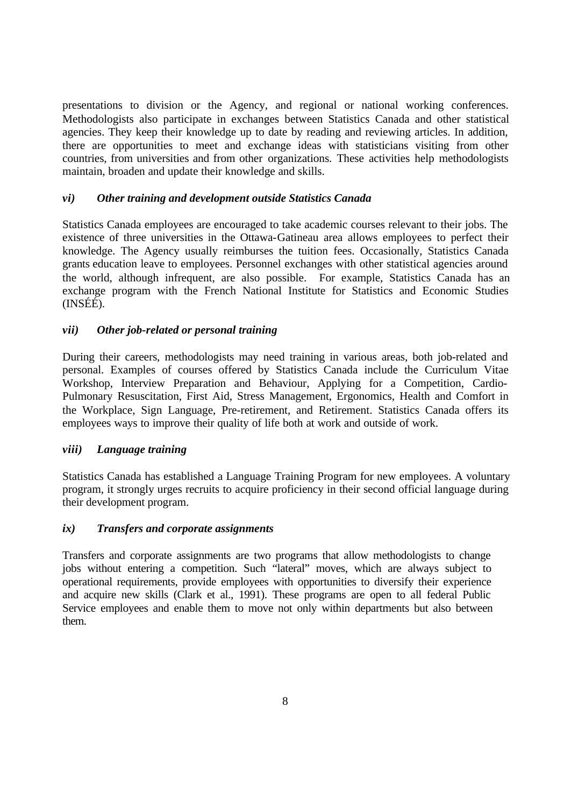presentations to division or the Agency, and regional or national working conferences. Methodologists also participate in exchanges between Statistics Canada and other statistical agencies. They keep their knowledge up to date by reading and reviewing articles. In addition, there are opportunities to meet and exchange ideas with statisticians visiting from other countries, from universities and from other organizations. These activities help methodologists maintain, broaden and update their knowledge and skills.

# *vi) Other training and development outside Statistics Canada*

Statistics Canada employees are encouraged to take academic courses relevant to their jobs. The existence of three universities in the Ottawa-Gatineau area allows employees to perfect their knowledge. The Agency usually reimburses the tuition fees. Occasionally, Statistics Canada grants education leave to employees. Personnel exchanges with other statistical agencies around the world, although infrequent, are also possible. For example, Statistics Canada has an exchange program with the French National Institute for Statistics and Economic Studies (INSÉÉ).

# *vii) Other job-related or personal training*

During their careers, methodologists may need training in various areas, both job-related and personal. Examples of courses offered by Statistics Canada include the Curriculum Vitae Workshop, Interview Preparation and Behaviour, Applying for a Competition, Cardio-Pulmonary Resuscitation, First Aid, Stress Management, Ergonomics, Health and Comfort in the Workplace, Sign Language, Pre-retirement, and Retirement. Statistics Canada offers its employees ways to improve their quality of life both at work and outside of work.

# *viii) Language training*

Statistics Canada has established a Language Training Program for new employees. A voluntary program, it strongly urges recruits to acquire proficiency in their second official language during their development program.

# *ix) Transfers and corporate assignments*

Transfers and corporate assignments are two programs that allow methodologists to change jobs without entering a competition. Such "lateral" moves, which are always subject to operational requirements, provide employees with opportunities to diversify their experience and acquire new skills (Clark et al., 1991). These programs are open to all federal Public Service employees and enable them to move not only within departments but also between them.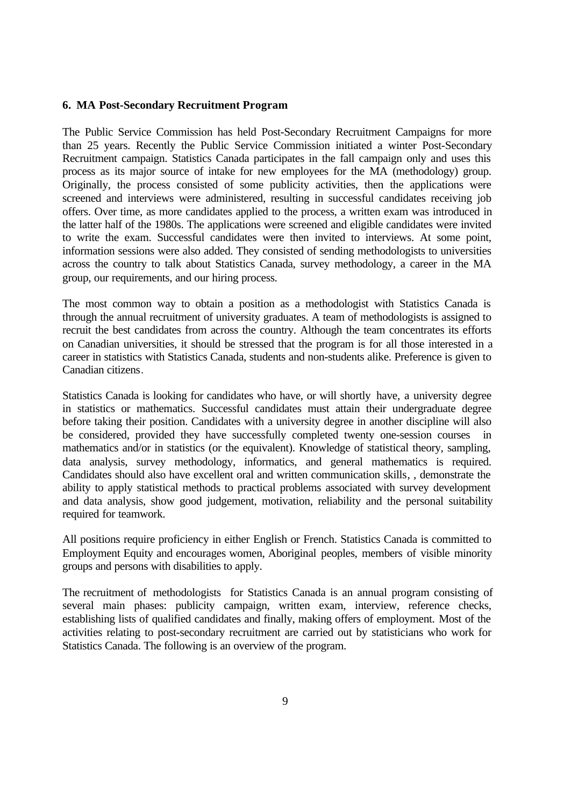#### **6. MA Post-Secondary Recruitment Program**

The Public Service Commission has held Post-Secondary Recruitment Campaigns for more than 25 years. Recently the Public Service Commission initiated a winter Post-Secondary Recruitment campaign. Statistics Canada participates in the fall campaign only and uses this process as its major source of intake for new employees for the MA (methodology) group. Originally, the process consisted of some publicity activities, then the applications were screened and interviews were administered, resulting in successful candidates receiving job offers. Over time, as more candidates applied to the process, a written exam was introduced in the latter half of the 1980s. The applications were screened and eligible candidates were invited to write the exam. Successful candidates were then invited to interviews. At some point, information sessions were also added. They consisted of sending methodologists to universities across the country to talk about Statistics Canada, survey methodology, a career in the MA group, our requirements, and our hiring process.

The most common way to obtain a position as a methodologist with Statistics Canada is through the annual recruitment of university graduates. A team of methodologists is assigned to recruit the best candidates from across the country. Although the team concentrates its efforts on Canadian universities, it should be stressed that the program is for all those interested in a career in statistics with Statistics Canada, students and non-students alike. Preference is given to Canadian citizens.

Statistics Canada is looking for candidates who have, or will shortly have, a university degree in statistics or mathematics. Successful candidates must attain their undergraduate degree before taking their position. Candidates with a university degree in another discipline will also be considered, provided they have successfully completed twenty one-session courses in mathematics and/or in statistics (or the equivalent). Knowledge of statistical theory, sampling, data analysis, survey methodology, informatics, and general mathematics is required. Candidates should also have excellent oral and written communication skills, , demonstrate the ability to apply statistical methods to practical problems associated with survey development and data analysis, show good judgement, motivation, reliability and the personal suitability required for teamwork.

All positions require proficiency in either English or French. Statistics Canada is committed to Employment Equity and encourages women, Aboriginal peoples, members of visible minority groups and persons with disabilities to apply.

The recruitment of methodologists for Statistics Canada is an annual program consisting of several main phases: publicity campaign, written exam, interview, reference checks, establishing lists of qualified candidates and finally, making offers of employment. Most of the activities relating to post-secondary recruitment are carried out by statisticians who work for Statistics Canada. The following is an overview of the program.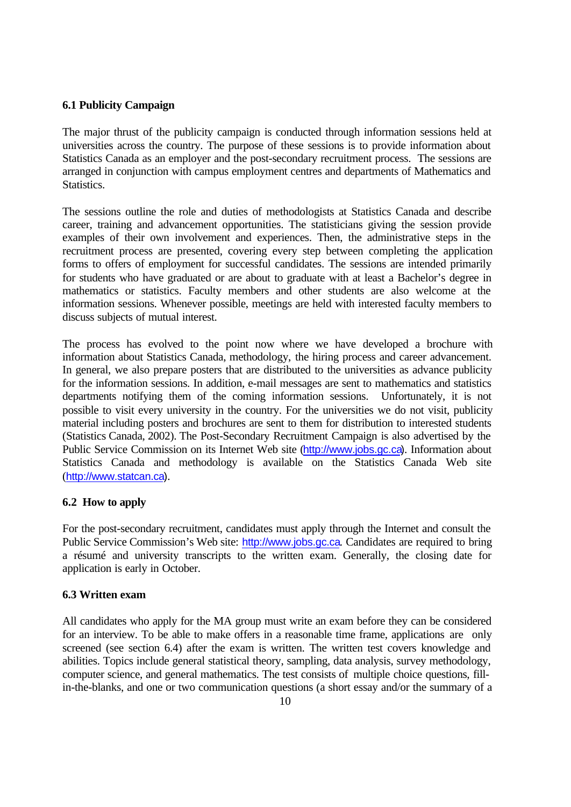#### **6.1 Publicity Campaign**

The major thrust of the publicity campaign is conducted through information sessions held at universities across the country. The purpose of these sessions is to provide information about Statistics Canada as an employer and the post-secondary recruitment process. The sessions are arranged in conjunction with campus employment centres and departments of Mathematics and Statistics.

The sessions outline the role and duties of methodologists at Statistics Canada and describe career, training and advancement opportunities. The statisticians giving the session provide examples of their own involvement and experiences. Then, the administrative steps in the recruitment process are presented, covering every step between completing the application forms to offers of employment for successful candidates. The sessions are intended primarily for students who have graduated or are about to graduate with at least a Bachelor's degree in mathematics or statistics. Faculty members and other students are also welcome at the information sessions. Whenever possible, meetings are held with interested faculty members to discuss subjects of mutual interest.

The process has evolved to the point now where we have developed a brochure with information about Statistics Canada, methodology, the hiring process and career advancement. In general, we also prepare posters that are distributed to the universities as advance publicity for the information sessions. In addition, e-mail messages are sent to mathematics and statistics departments notifying them of the coming information sessions. Unfortunately, it is not possible to visit every university in the country. For the universities we do not visit, publicity material including posters and brochures are sent to them for distribution to interested students (Statistics Canada, 2002). The Post-Secondary Recruitment Campaign is also advertised by the Public Service Commission on its Internet Web site (http://www.jobs.gc.ca). Information about Statistics Canada and methodology is available on the Statistics Canada Web site (http://www.statcan.ca).

#### **6.2 How to apply**

For the post-secondary recruitment, candidates must apply through the Internet and consult the Public Service Commission's Web site: http://www.jobs.gc.ca. Candidates are required to bring a résumé and university transcripts to the written exam. Generally, the closing date for application is early in October.

#### **6.3 Written exam**

All candidates who apply for the MA group must write an exam before they can be considered for an interview. To be able to make offers in a reasonable time frame, applications are only screened (see section 6.4) after the exam is written. The written test covers knowledge and abilities. Topics include general statistical theory, sampling, data analysis, survey methodology, computer science, and general mathematics. The test consists of multiple choice questions, fillin-the-blanks, and one or two communication questions (a short essay and/or the summary of a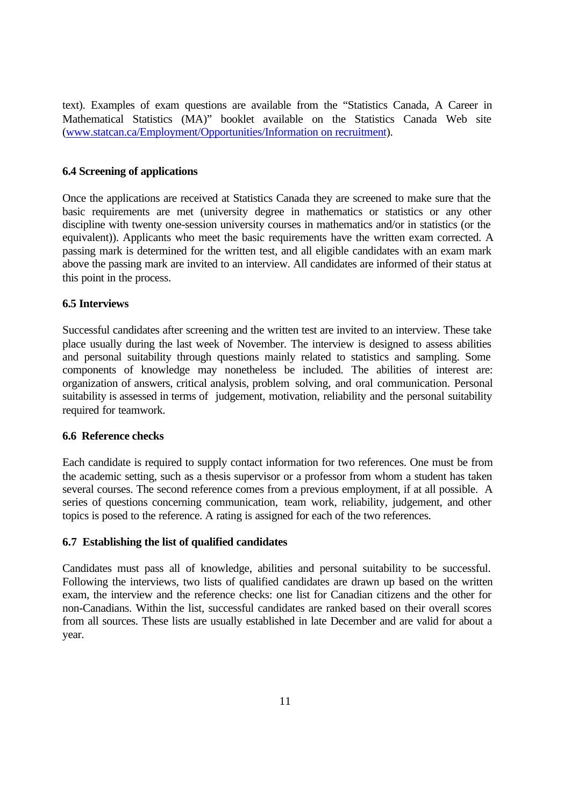text). Examples of exam questions are available from the "Statistics Canada, A Career in Mathematical Statistics (MA)" booklet available on the Statistics Canada Web site (www.statcan.ca/Employment/Opportunities/Information on recruitment).

# **6.4 Screening of applications**

Once the applications are received at Statistics Canada they are screened to make sure that the basic requirements are met (university degree in mathematics or statistics or any other discipline with twenty one-session university courses in mathematics and/or in statistics (or the equivalent)). Applicants who meet the basic requirements have the written exam corrected. A passing mark is determined for the written test, and all eligible candidates with an exam mark above the passing mark are invited to an interview. All candidates are informed of their status at this point in the process.

# **6.5 Interviews**

Successful candidates after screening and the written test are invited to an interview. These take place usually during the last week of November. The interview is designed to assess abilities and personal suitability through questions mainly related to statistics and sampling. Some components of knowledge may nonetheless be included. The abilities of interest are: organization of answers, critical analysis, problem solving, and oral communication. Personal suitability is assessed in terms of judgement, motivation, reliability and the personal suitability required for teamwork.

# **6.6 Reference checks**

Each candidate is required to supply contact information for two references. One must be from the academic setting, such as a thesis supervisor or a professor from whom a student has taken several courses. The second reference comes from a previous employment, if at all possible. A series of questions concerning communication, team work, reliability, judgement, and other topics is posed to the reference. A rating is assigned for each of the two references.

# **6.7 Establishing the list of qualified candidates**

Candidates must pass all of knowledge, abilities and personal suitability to be successful. Following the interviews, two lists of qualified candidates are drawn up based on the written exam, the interview and the reference checks: one list for Canadian citizens and the other for non-Canadians. Within the list, successful candidates are ranked based on their overall scores from all sources. These lists are usually established in late December and are valid for about a year.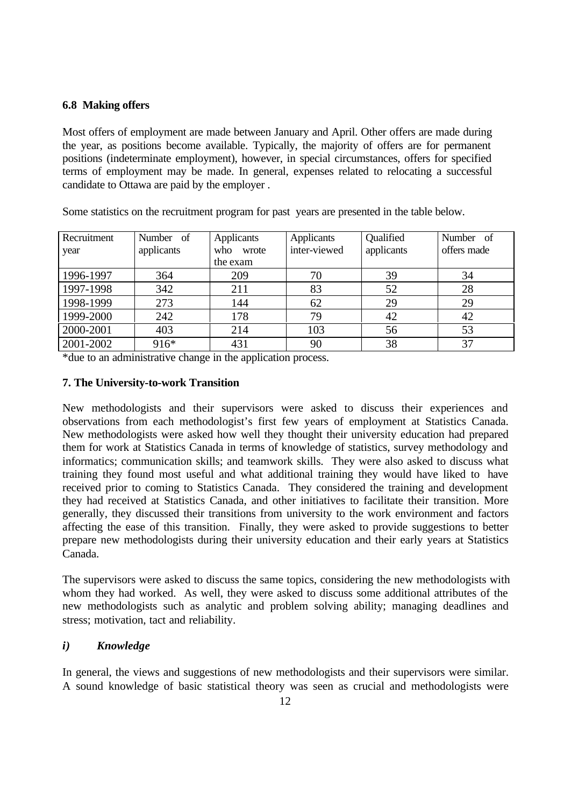# **6.8 Making offers**

Most offers of employment are made between January and April. Other offers are made during the year, as positions become available. Typically, the majority of offers are for permanent positions (indeterminate employment), however, in special circumstances, offers for specified terms of employment may be made. In general, expenses related to relocating a successful candidate to Ottawa are paid by the employer .

| Recruitment | Number of  | Applicants | Applicants   | Qualified  | Number of   |
|-------------|------------|------------|--------------|------------|-------------|
| year        | applicants | who wrote  | inter-viewed | applicants | offers made |
|             |            | the exam   |              |            |             |
| 1996-1997   | 364        | 209        | 70           | 39         | 34          |
| 1997-1998   | 342        | 211        | 83           | 52         | 28          |
| 1998-1999   | 273        | 144        | 62           | 29         | 29          |
| 1999-2000   | 242        | 178        | 79           | 42         | 42          |
| 2000-2001   | 403        | 214        | 103          | 56         | 53          |
| 2001-2002   | 916*       | 431        | 90           | 38         | 37          |

Some statistics on the recruitment program for past years are presented in the table below.

\*due to an administrative change in the application process.

# **7. The University-to-work Transition**

New methodologists and their supervisors were asked to discuss their experiences and observations from each methodologist's first few years of employment at Statistics Canada. New methodologists were asked how well they thought their university education had prepared them for work at Statistics Canada in terms of knowledge of statistics, survey methodology and informatics; communication skills; and teamwork skills. They were also asked to discuss what training they found most useful and what additional training they would have liked to have received prior to coming to Statistics Canada. They considered the training and development they had received at Statistics Canada, and other initiatives to facilitate their transition. More generally, they discussed their transitions from university to the work environment and factors affecting the ease of this transition. Finally, they were asked to provide suggestions to better prepare new methodologists during their university education and their early years at Statistics Canada.

The supervisors were asked to discuss the same topics, considering the new methodologists with whom they had worked. As well, they were asked to discuss some additional attributes of the new methodologists such as analytic and problem solving ability; managing deadlines and stress; motivation, tact and reliability.

# *i) Knowledge*

In general, the views and suggestions of new methodologists and their supervisors were similar. A sound knowledge of basic statistical theory was seen as crucial and methodologists were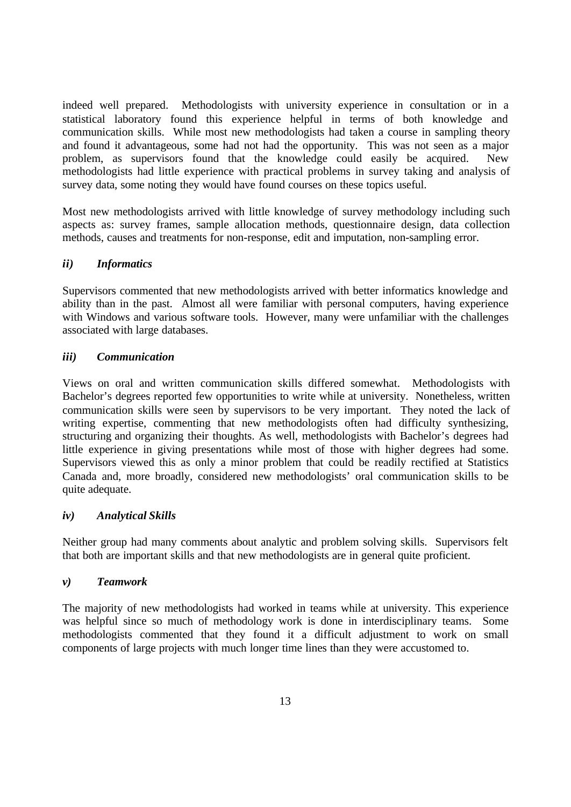indeed well prepared. Methodologists with university experience in consultation or in a statistical laboratory found this experience helpful in terms of both knowledge and communication skills. While most new methodologists had taken a course in sampling theory and found it advantageous, some had not had the opportunity. This was not seen as a major problem, as supervisors found that the knowledge could easily be acquired. New methodologists had little experience with practical problems in survey taking and analysis of survey data, some noting they would have found courses on these topics useful.

Most new methodologists arrived with little knowledge of survey methodology including such aspects as: survey frames, sample allocation methods, questionnaire design, data collection methods, causes and treatments for non-response, edit and imputation, non-sampling error.

# *ii) Informatics*

Supervisors commented that new methodologists arrived with better informatics knowledge and ability than in the past. Almost all were familiar with personal computers, having experience with Windows and various software tools. However, many were unfamiliar with the challenges associated with large databases.

# *iii) Communication*

Views on oral and written communication skills differed somewhat. Methodologists with Bachelor's degrees reported few opportunities to write while at university. Nonetheless, written communication skills were seen by supervisors to be very important. They noted the lack of writing expertise, commenting that new methodologists often had difficulty synthesizing, structuring and organizing their thoughts. As well, methodologists with Bachelor's degrees had little experience in giving presentations while most of those with higher degrees had some. Supervisors viewed this as only a minor problem that could be readily rectified at Statistics Canada and, more broadly, considered new methodologists' oral communication skills to be quite adequate.

# *iv) Analytical Skills*

Neither group had many comments about analytic and problem solving skills. Supervisors felt that both are important skills and that new methodologists are in general quite proficient.

# *v) Teamwork*

The majority of new methodologists had worked in teams while at university. This experience was helpful since so much of methodology work is done in interdisciplinary teams. Some methodologists commented that they found it a difficult adjustment to work on small components of large projects with much longer time lines than they were accustomed to.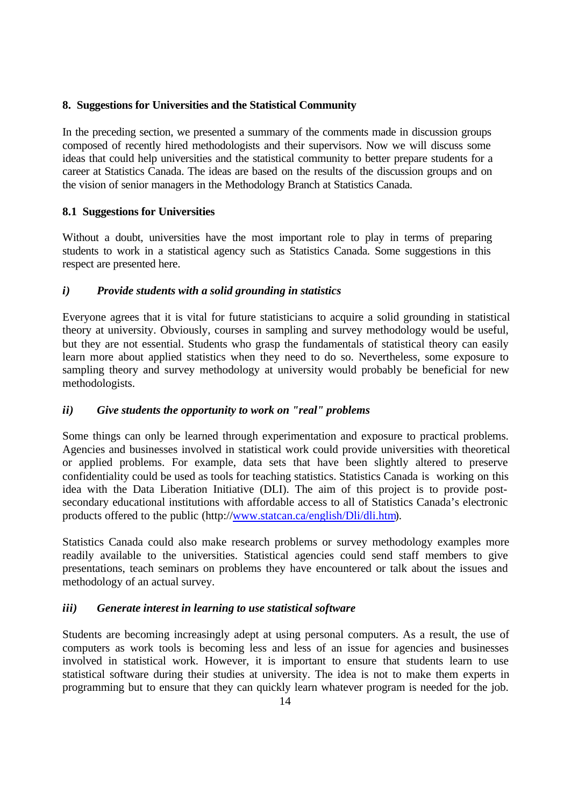# **8. Suggestions for Universities and the Statistical Community**

In the preceding section, we presented a summary of the comments made in discussion groups composed of recently hired methodologists and their supervisors. Now we will discuss some ideas that could help universities and the statistical community to better prepare students for a career at Statistics Canada. The ideas are based on the results of the discussion groups and on the vision of senior managers in the Methodology Branch at Statistics Canada.

# **8.1 Suggestions for Universities**

Without a doubt, universities have the most important role to play in terms of preparing students to work in a statistical agency such as Statistics Canada. Some suggestions in this respect are presented here.

# *i) Provide students with a solid grounding in statistics*

Everyone agrees that it is vital for future statisticians to acquire a solid grounding in statistical theory at university. Obviously, courses in sampling and survey methodology would be useful, but they are not essential. Students who grasp the fundamentals of statistical theory can easily learn more about applied statistics when they need to do so. Nevertheless, some exposure to sampling theory and survey methodology at university would probably be beneficial for new methodologists.

# *ii) Give students the opportunity to work on "real" problems*

Some things can only be learned through experimentation and exposure to practical problems. Agencies and businesses involved in statistical work could provide universities with theoretical or applied problems. For example, data sets that have been slightly altered to preserve confidentiality could be used as tools for teaching statistics. Statistics Canada is working on this idea with the Data Liberation Initiative (DLI). The aim of this project is to provide postsecondary educational institutions with affordable access to all of Statistics Canada's electronic products offered to the public (http://www.statcan.ca/english/Dli/dli.htm).

Statistics Canada could also make research problems or survey methodology examples more readily available to the universities. Statistical agencies could send staff members to give presentations, teach seminars on problems they have encountered or talk about the issues and methodology of an actual survey.

# *iii) Generate interest in learning to use statistical software*

Students are becoming increasingly adept at using personal computers. As a result, the use of computers as work tools is becoming less and less of an issue for agencies and businesses involved in statistical work. However, it is important to ensure that students learn to use statistical software during their studies at university. The idea is not to make them experts in programming but to ensure that they can quickly learn whatever program is needed for the job.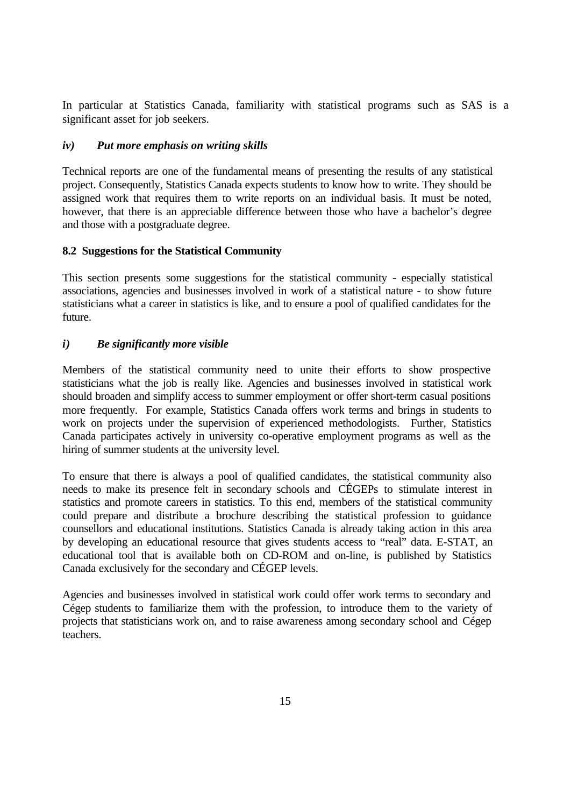In particular at Statistics Canada, familiarity with statistical programs such as SAS is a significant asset for job seekers.

# *iv) Put more emphasis on writing skills*

Technical reports are one of the fundamental means of presenting the results of any statistical project. Consequently, Statistics Canada expects students to know how to write. They should be assigned work that requires them to write reports on an individual basis. It must be noted, however, that there is an appreciable difference between those who have a bachelor's degree and those with a postgraduate degree.

# **8.2 Suggestions for the Statistical Community**

This section presents some suggestions for the statistical community - especially statistical associations, agencies and businesses involved in work of a statistical nature - to show future statisticians what a career in statistics is like, and to ensure a pool of qualified candidates for the future.

# *i) Be significantly more visible*

Members of the statistical community need to unite their efforts to show prospective statisticians what the job is really like. Agencies and businesses involved in statistical work should broaden and simplify access to summer employment or offer short-term casual positions more frequently. For example, Statistics Canada offers work terms and brings in students to work on projects under the supervision of experienced methodologists. Further, Statistics Canada participates actively in university co-operative employment programs as well as the hiring of summer students at the university level.

To ensure that there is always a pool of qualified candidates, the statistical community also needs to make its presence felt in secondary schools and CÉGEPs to stimulate interest in statistics and promote careers in statistics. To this end, members of the statistical community could prepare and distribute a brochure describing the statistical profession to guidance counsellors and educational institutions. Statistics Canada is already taking action in this area by developing an educational resource that gives students access to "real" data. E-STAT, an educational tool that is available both on CD-ROM and on-line, is published by Statistics Canada exclusively for the secondary and CÉGEP levels.

Agencies and businesses involved in statistical work could offer work terms to secondary and Cégep students to familiarize them with the profession, to introduce them to the variety of projects that statisticians work on, and to raise awareness among secondary school and Cégep teachers.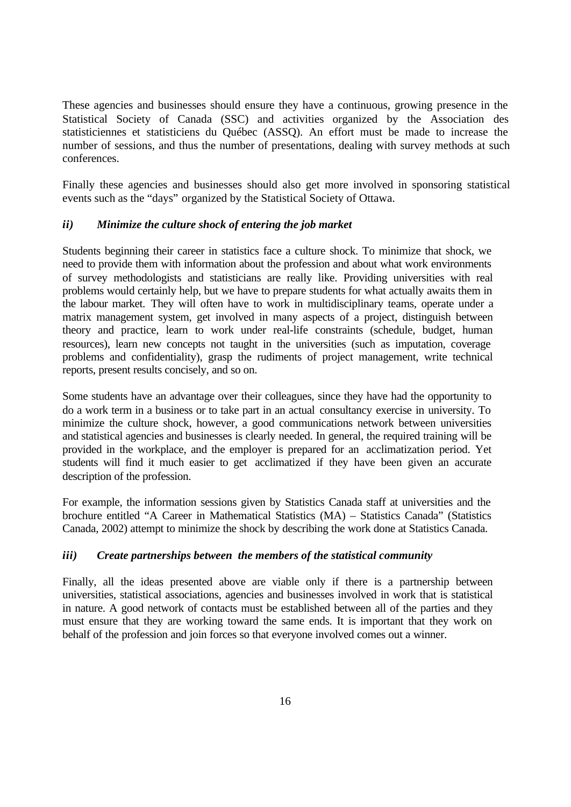These agencies and businesses should ensure they have a continuous, growing presence in the Statistical Society of Canada (SSC) and activities organized by the Association des statisticiennes et statisticiens du Québec (ASSQ). An effort must be made to increase the number of sessions, and thus the number of presentations, dealing with survey methods at such conferences.

Finally these agencies and businesses should also get more involved in sponsoring statistical events such as the "days" organized by the Statistical Society of Ottawa.

# *ii) Minimize the culture shock of entering the job market*

Students beginning their career in statistics face a culture shock. To minimize that shock, we need to provide them with information about the profession and about what work environments of survey methodologists and statisticians are really like. Providing universities with real problems would certainly help, but we have to prepare students for what actually awaits them in the labour market. They will often have to work in multidisciplinary teams, operate under a matrix management system, get involved in many aspects of a project, distinguish between theory and practice, learn to work under real-life constraints (schedule, budget, human resources), learn new concepts not taught in the universities (such as imputation, coverage problems and confidentiality), grasp the rudiments of project management, write technical reports, present results concisely, and so on.

Some students have an advantage over their colleagues, since they have had the opportunity to do a work term in a business or to take part in an actual consultancy exercise in university. To minimize the culture shock, however, a good communications network between universities and statistical agencies and businesses is clearly needed. In general, the required training will be provided in the workplace, and the employer is prepared for an acclimatization period. Yet students will find it much easier to get acclimatized if they have been given an accurate description of the profession.

For example, the information sessions given by Statistics Canada staff at universities and the brochure entitled "A Career in Mathematical Statistics (MA) – Statistics Canada" (Statistics Canada, 2002) attempt to minimize the shock by describing the work done at Statistics Canada.

# *iii) Create partnerships between the members of the statistical community*

Finally, all the ideas presented above are viable only if there is a partnership between universities, statistical associations, agencies and businesses involved in work that is statistical in nature. A good network of contacts must be established between all of the parties and they must ensure that they are working toward the same ends. It is important that they work on behalf of the profession and join forces so that everyone involved comes out a winner.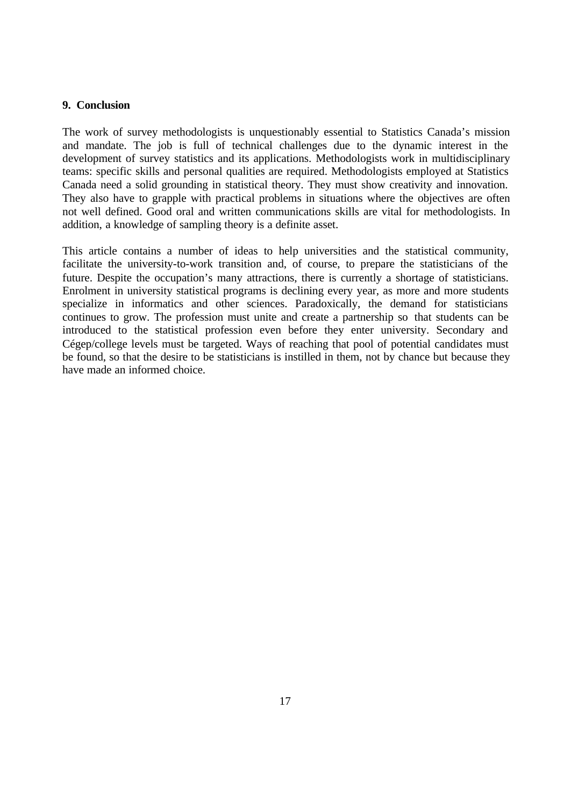#### **9. Conclusion**

The work of survey methodologists is unquestionably essential to Statistics Canada's mission and mandate. The job is full of technical challenges due to the dynamic interest in the development of survey statistics and its applications. Methodologists work in multidisciplinary teams: specific skills and personal qualities are required. Methodologists employed at Statistics Canada need a solid grounding in statistical theory. They must show creativity and innovation. They also have to grapple with practical problems in situations where the objectives are often not well defined. Good oral and written communications skills are vital for methodologists. In addition, a knowledge of sampling theory is a definite asset.

This article contains a number of ideas to help universities and the statistical community, facilitate the university-to-work transition and, of course, to prepare the statisticians of the future. Despite the occupation's many attractions, there is currently a shortage of statisticians. Enrolment in university statistical programs is declining every year, as more and more students specialize in informatics and other sciences. Paradoxically, the demand for statisticians continues to grow. The profession must unite and create a partnership so that students can be introduced to the statistical profession even before they enter university. Secondary and Cégep/college levels must be targeted. Ways of reaching that pool of potential candidates must be found, so that the desire to be statisticians is instilled in them, not by chance but because they have made an informed choice.